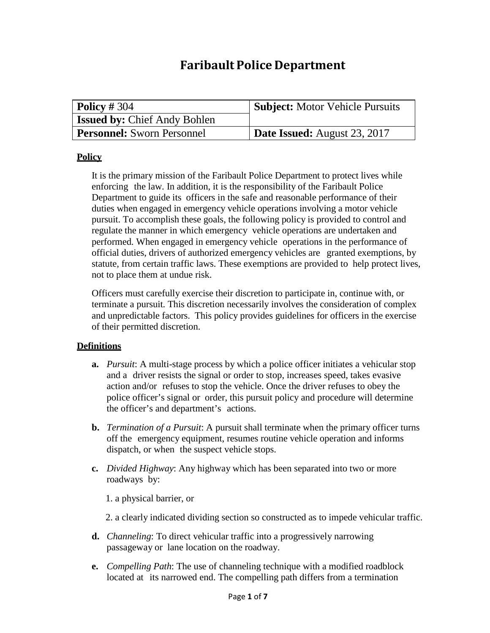# **Faribault Police Department**

| $\vert$ Policy # 304                | <b>Subject:</b> Motor Vehicle Pursuits |
|-------------------------------------|----------------------------------------|
| <b>Issued by: Chief Andy Bohlen</b> |                                        |
| <b>Personnel:</b> Sworn Personnel   | <b>Date Issued:</b> August 23, 2017    |

#### **Policy**

It is the primary mission of the Faribault Police Department to protect lives while enforcing the law. In addition, it is the responsibility of the Faribault Police Department to guide its officers in the safe and reasonable performance of their duties when engaged in emergency vehicle operations involving a motor vehicle pursuit. To accomplish these goals, the following policy is provided to control and regulate the manner in which emergency vehicle operations are undertaken and performed. When engaged in emergency vehicle operations in the performance of official duties, drivers of authorized emergency vehicles are granted exemptions, by statute, from certain traffic laws. These exemptions are provided to help protect lives, not to place them at undue risk.

Officers must carefully exercise their discretion to participate in, continue with, or terminate a pursuit. This discretion necessarily involves the consideration of complex and unpredictable factors. This policy provides guidelines for officers in the exercise of their permitted discretion.

#### **Definitions**

- **a.** *Pursuit*: A multi-stage process by which a police officer initiates a vehicular stop and a driver resists the signal or order to stop, increases speed, takes evasive action and/or refuses to stop the vehicle. Once the driver refuses to obey the police officer's signal or order, this pursuit policy and procedure will determine the officer's and department's actions.
- **b.** *Termination of a Pursuit*: A pursuit shall terminate when the primary officer turns off the emergency equipment, resumes routine vehicle operation and informs dispatch, or when the suspect vehicle stops.
- **c.** *Divided Highway*: Any highway which has been separated into two or more roadways by:
	- 1. a physical barrier, or
	- 2. a clearly indicated dividing section so constructed as to impede vehicular traffic.
- **d.** *Channeling*: To direct vehicular traffic into a progressively narrowing passageway or lane location on the roadway.
- **e.** *Compelling Path*: The use of channeling technique with a modified roadblock located at its narrowed end. The compelling path differs from a termination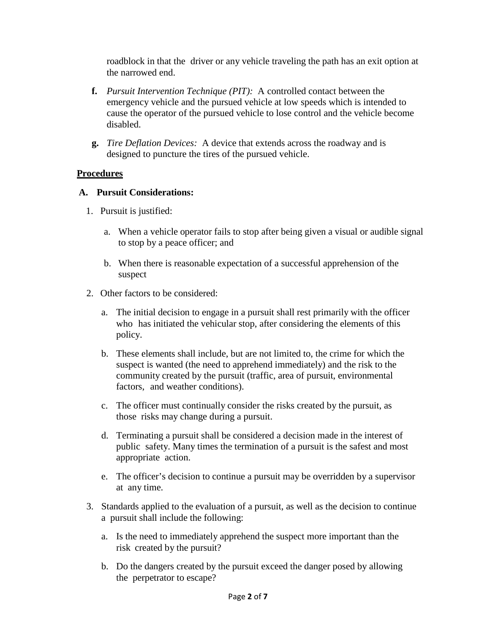roadblock in that the driver or any vehicle traveling the path has an exit option at the narrowed end.

- **f.** *Pursuit Intervention Technique (PIT):* A controlled contact between the emergency vehicle and the pursued vehicle at low speeds which is intended to cause the operator of the pursued vehicle to lose control and the vehicle become disabled.
- **g.** *Tire Deflation Devices:* A device that extends across the roadway and is designed to puncture the tires of the pursued vehicle.

## **Procedures**

#### **A. Pursuit Considerations:**

- 1. Pursuit is justified:
	- a. When a vehicle operator fails to stop after being given a visual or audible signal to stop by a peace officer; and
	- b. When there is reasonable expectation of a successful apprehension of the suspect
- 2. Other factors to be considered:
	- a. The initial decision to engage in a pursuit shall rest primarily with the officer who has initiated the vehicular stop, after considering the elements of this policy.
	- b. These elements shall include, but are not limited to, the crime for which the suspect is wanted (the need to apprehend immediately) and the risk to the community created by the pursuit (traffic, area of pursuit, environmental factors, and weather conditions).
	- c. The officer must continually consider the risks created by the pursuit, as those risks may change during a pursuit.
	- d. Terminating a pursuit shall be considered a decision made in the interest of public safety. Many times the termination of a pursuit is the safest and most appropriate action.
	- e. The officer's decision to continue a pursuit may be overridden by a supervisor at any time.
- 3. Standards applied to the evaluation of a pursuit, as well as the decision to continue a pursuit shall include the following:
	- a. Is the need to immediately apprehend the suspect more important than the risk created by the pursuit?
	- b. Do the dangers created by the pursuit exceed the danger posed by allowing the perpetrator to escape?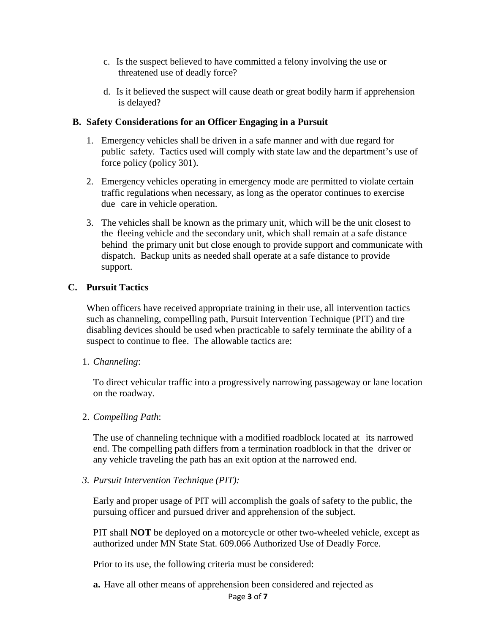- c. Is the suspect believed to have committed a felony involving the use or threatened use of deadly force?
- d. Is it believed the suspect will cause death or great bodily harm if apprehension is delayed?

#### **B. Safety Considerations for an Officer Engaging in a Pursuit**

- 1. Emergency vehicles shall be driven in a safe manner and with due regard for public safety. Tactics used will comply with state law and the department's use of force policy (policy 301).
- 2. Emergency vehicles operating in emergency mode are permitted to violate certain traffic regulations when necessary, as long as the operator continues to exercise due care in vehicle operation.
- 3. The vehicles shall be known as the primary unit, which will be the unit closest to the fleeing vehicle and the secondary unit, which shall remain at a safe distance behind the primary unit but close enough to provide support and communicate with dispatch. Backup units as needed shall operate at a safe distance to provide support.

#### **C. Pursuit Tactics**

When officers have received appropriate training in their use, all intervention tactics such as channeling, compelling path, Pursuit Intervention Technique (PIT) and tire disabling devices should be used when practicable to safely terminate the ability of a suspect to continue to flee. The allowable tactics are:

#### 1. *Channeling*:

To direct vehicular traffic into a progressively narrowing passageway or lane location on the roadway.

## 2. *Compelling Path*:

The use of channeling technique with a modified roadblock located at its narrowed end. The compelling path differs from a termination roadblock in that the driver or any vehicle traveling the path has an exit option at the narrowed end.

#### *3. Pursuit Intervention Technique (PIT):*

Early and proper usage of PIT will accomplish the goals of safety to the public, the pursuing officer and pursued driver and apprehension of the subject.

PIT shall **NOT** be deployed on a motorcycle or other two-wheeled vehicle, except as authorized under MN State Stat. 609.066 Authorized Use of Deadly Force.

Prior to its use, the following criteria must be considered:

**a.** Have all other means of apprehension been considered and rejected as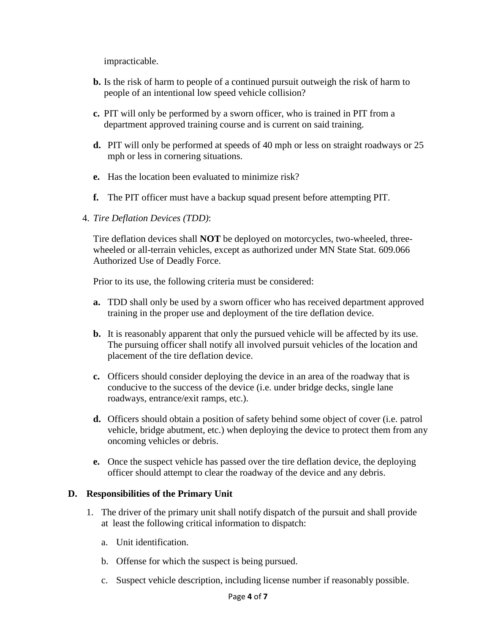impracticable.

- **b.** Is the risk of harm to people of a continued pursuit outweigh the risk of harm to people of an intentional low speed vehicle collision?
- **c.** PIT will only be performed by a sworn officer, who is trained in PIT from a department approved training course and is current on said training.
- **d.** PIT will only be performed at speeds of 40 mph or less on straight roadways or 25 mph or less in cornering situations.
- **e.** Has the location been evaluated to minimize risk?
- **f.** The PIT officer must have a backup squad present before attempting PIT.
- 4. *Tire Deflation Devices (TDD)*:

Tire deflation devices shall **NOT** be deployed on motorcycles, two-wheeled, threewheeled or all-terrain vehicles, except as authorized under MN State Stat. 609.066 Authorized Use of Deadly Force.

Prior to its use, the following criteria must be considered:

- **a.** TDD shall only be used by a sworn officer who has received department approved training in the proper use and deployment of the tire deflation device.
- **b.** It is reasonably apparent that only the pursued vehicle will be affected by its use. The pursuing officer shall notify all involved pursuit vehicles of the location and placement of the tire deflation device.
- **c.** Officers should consider deploying the device in an area of the roadway that is conducive to the success of the device (i.e. under bridge decks, single lane roadways, entrance/exit ramps, etc.).
- **d.** Officers should obtain a position of safety behind some object of cover (i.e. patrol vehicle, bridge abutment, etc.) when deploying the device to protect them from any oncoming vehicles or debris.
- **e.** Once the suspect vehicle has passed over the tire deflation device, the deploying officer should attempt to clear the roadway of the device and any debris.

## **D. Responsibilities of the Primary Unit**

- 1. The driver of the primary unit shall notify dispatch of the pursuit and shall provide at least the following critical information to dispatch:
	- a. Unit identification.
	- b. Offense for which the suspect is being pursued.
	- c. Suspect vehicle description, including license number if reasonably possible.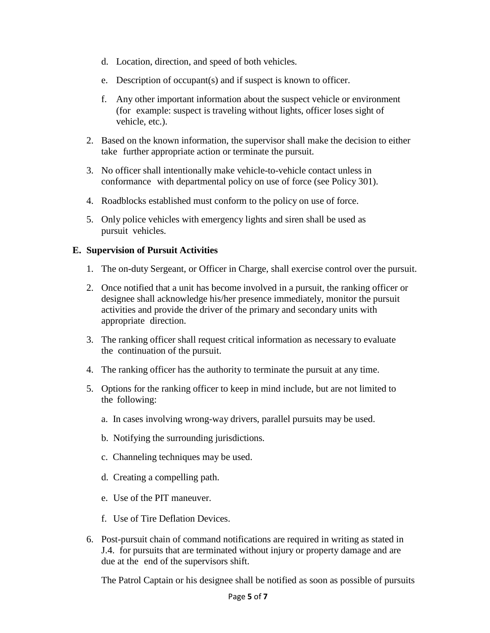- d. Location, direction, and speed of both vehicles.
- e. Description of occupant(s) and if suspect is known to officer.
- f. Any other important information about the suspect vehicle or environment (for example: suspect is traveling without lights, officer loses sight of vehicle, etc.).
- 2. Based on the known information, the supervisor shall make the decision to either take further appropriate action or terminate the pursuit.
- 3. No officer shall intentionally make vehicle-to-vehicle contact unless in conformance with departmental policy on use of force (see Policy 301).
- 4. Roadblocks established must conform to the policy on use of force.
- 5. Only police vehicles with emergency lights and siren shall be used as pursuit vehicles.

## **E. Supervision of Pursuit Activities**

- 1. The on-duty Sergeant, or Officer in Charge, shall exercise control over the pursuit.
- 2. Once notified that a unit has become involved in a pursuit, the ranking officer or designee shall acknowledge his/her presence immediately, monitor the pursuit activities and provide the driver of the primary and secondary units with appropriate direction.
- 3. The ranking officer shall request critical information as necessary to evaluate the continuation of the pursuit.
- 4. The ranking officer has the authority to terminate the pursuit at any time.
- 5. Options for the ranking officer to keep in mind include, but are not limited to the following:
	- a. In cases involving wrong-way drivers, parallel pursuits may be used.
	- b. Notifying the surrounding jurisdictions.
	- c. Channeling techniques may be used.
	- d. Creating a compelling path.
	- e. Use of the PIT maneuver.
	- f. Use of Tire Deflation Devices.
- 6. Post-pursuit chain of command notifications are required in writing as stated in J.4. for pursuits that are terminated without injury or property damage and are due at the end of the supervisors shift.

The Patrol Captain or his designee shall be notified as soon as possible of pursuits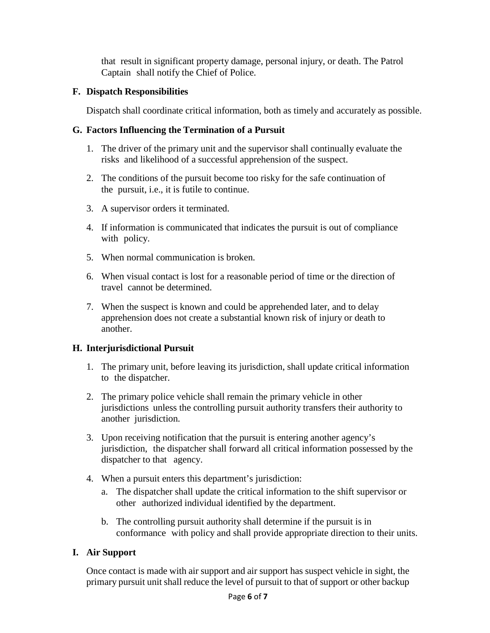that result in significant property damage, personal injury, or death. The Patrol Captain shall notify the Chief of Police.

## **F. Dispatch Responsibilities**

Dispatch shall coordinate critical information, both as timely and accurately as possible.

## **G. Factors Influencing the Termination of a Pursuit**

- 1. The driver of the primary unit and the supervisor shall continually evaluate the risks and likelihood of a successful apprehension of the suspect.
- 2. The conditions of the pursuit become too risky for the safe continuation of the pursuit, i.e., it is futile to continue.
- 3. A supervisor orders it terminated.
- 4. If information is communicated that indicates the pursuit is out of compliance with policy.
- 5. When normal communication is broken.
- 6. When visual contact is lost for a reasonable period of time or the direction of travel cannot be determined.
- 7. When the suspect is known and could be apprehended later, and to delay apprehension does not create a substantial known risk of injury or death to another.

# **H. Interjurisdictional Pursuit**

- 1. The primary unit, before leaving its jurisdiction, shall update critical information to the dispatcher.
- 2. The primary police vehicle shall remain the primary vehicle in other jurisdictions unless the controlling pursuit authority transfers their authority to another jurisdiction.
- 3. Upon receiving notification that the pursuit is entering another agency's jurisdiction, the dispatcher shall forward all critical information possessed by the dispatcher to that agency.
- 4. When a pursuit enters this department's jurisdiction:
	- a. The dispatcher shall update the critical information to the shift supervisor or other authorized individual identified by the department.
	- b. The controlling pursuit authority shall determine if the pursuit is in conformance with policy and shall provide appropriate direction to their units.

# **I. Air Support**

Once contact is made with air support and air support has suspect vehicle in sight, the primary pursuit unit shall reduce the level of pursuit to that of support or other backup